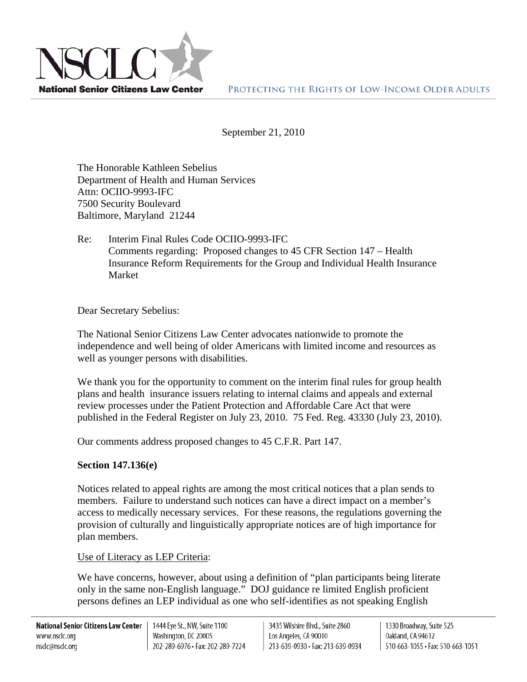

September 21, 2010

The Honorable Kathleen Sebelius Department of Health and Human Services Attn: OCIIO-9993-IFC 7500 Security Boulevard Baltimore, Maryland 21244

Re: Interim Final Rules Code OCIIO-9993-IFC Comments regarding: Proposed changes to 45 CFR Section 147 – Health Insurance Reform Requirements for the Group and Individual Health Insurance Market

Dear Secretary Sebelius:

The National Senior Citizens Law Center advocates nationwide to promote the independence and well being of older Americans with limited income and resources as well as younger persons with disabilities.

We thank you for the opportunity to comment on the interim final rules for group health plans and health insurance issuers relating to internal claims and appeals and external review processes under the Patient Protection and Affordable Care Act that were published in the Federal Register on July 23, 2010. 75 Fed. Reg. 43330 (July 23, 2010).

Our comments address proposed changes to 45 C.F.R. Part 147.

## **Section 147.136(e)**

Notices related to appeal rights are among the most critical notices that a plan sends to members. Failure to understand such notices can have a direct impact on a member's access to medically necessary services. For these reasons, the regulations governing the provision of culturally and linguistically appropriate notices are of high importance for plan members.

Use of Literacy as LEP Criteria:

We have concerns, however, about using a definition of "plan participants being literate only in the same non-English language." DOJ guidance re limited English proficient persons defines an LEP individual as one who self-identifies as not speaking English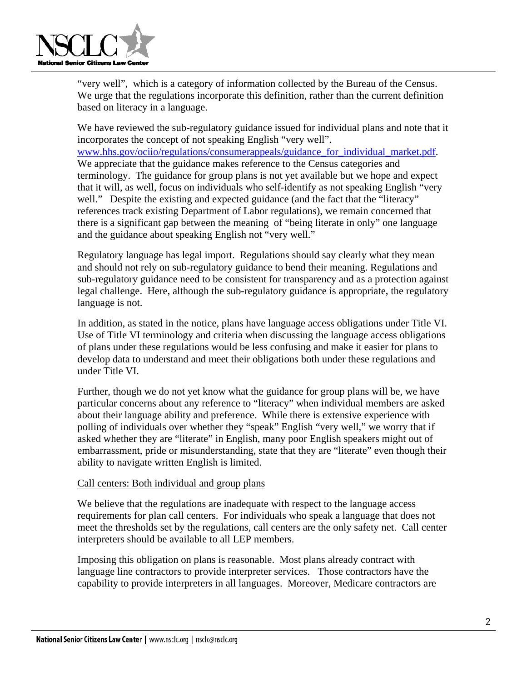

"very well", which is a category of information collected by the Bureau of the Census. We urge that the regulations incorporate this definition, rather than the current definition based on literacy in a language.

We have reviewed the sub-regulatory guidance issued for individual plans and note that it incorporates the concept of not speaking English "very well".

[www.hhs.gov/ociio/regulations/consumerappeals/guidance\\_for\\_individual\\_market.pdf](http://www.hhs.gov/ociio/regulations/consumerappeals/guidance_for_individual_market.pdf). We appreciate that the guidance makes reference to the Census categories and terminology. The guidance for group plans is not yet available but we hope and expect that it will, as well, focus on individuals who self-identify as not speaking English "very well." Despite the existing and expected guidance (and the fact that the "literacy" references track existing Department of Labor regulations), we remain concerned that there is a significant gap between the meaning of "being literate in only" one language and the guidance about speaking English not "very well."

Regulatory language has legal import. Regulations should say clearly what they mean and should not rely on sub-regulatory guidance to bend their meaning. Regulations and sub-regulatory guidance need to be consistent for transparency and as a protection against legal challenge. Here, although the sub-regulatory guidance is appropriate, the regulatory language is not.

In addition, as stated in the notice, plans have language access obligations under Title VI. Use of Title VI terminology and criteria when discussing the language access obligations of plans under these regulations would be less confusing and make it easier for plans to develop data to understand and meet their obligations both under these regulations and under Title VI.

Further, though we do not yet know what the guidance for group plans will be, we have particular concerns about any reference to "literacy" when individual members are asked about their language ability and preference. While there is extensive experience with polling of individuals over whether they "speak" English "very well," we worry that if asked whether they are "literate" in English, many poor English speakers might out of embarrassment, pride or misunderstanding, state that they are "literate" even though their ability to navigate written English is limited.

## Call centers: Both individual and group plans

We believe that the regulations are inadequate with respect to the language access requirements for plan call centers. For individuals who speak a language that does not meet the thresholds set by the regulations, call centers are the only safety net. Call center interpreters should be available to all LEP members.

Imposing this obligation on plans is reasonable. Most plans already contract with language line contractors to provide interpreter services. Those contractors have the capability to provide interpreters in all languages. Moreover, Medicare contractors are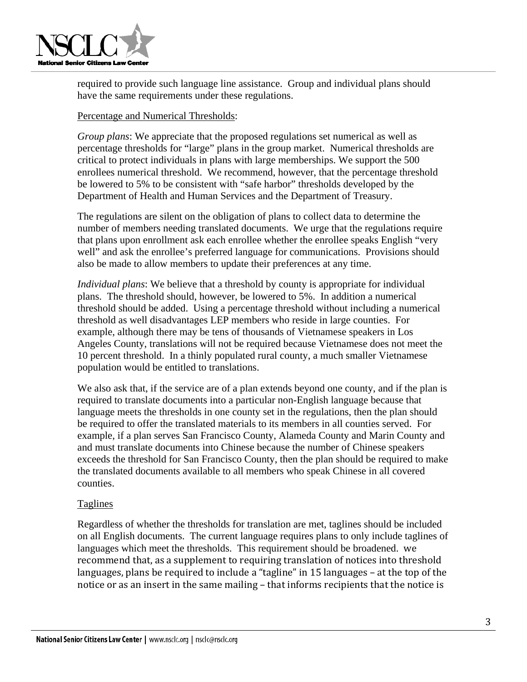

required to provide such language line assistance. Group and individual plans should have the same requirements under these regulations.

## Percentage and Numerical Thresholds:

*Group plans*: We appreciate that the proposed regulations set numerical as well as percentage thresholds for "large" plans in the group market. Numerical thresholds are critical to protect individuals in plans with large memberships. We support the 500 enrollees numerical threshold. We recommend, however, that the percentage threshold be lowered to 5% to be consistent with "safe harbor" thresholds developed by the Department of Health and Human Services and the Department of Treasury.

The regulations are silent on the obligation of plans to collect data to determine the number of members needing translated documents. We urge that the regulations require that plans upon enrollment ask each enrollee whether the enrollee speaks English "very well" and ask the enrollee's preferred language for communications. Provisions should also be made to allow members to update their preferences at any time.

*Individual plans*: We believe that a threshold by county is appropriate for individual plans. The threshold should, however, be lowered to 5%. In addition a numerical threshold should be added. Using a percentage threshold without including a numerical threshold as well disadvantages LEP members who reside in large counties. For example, although there may be tens of thousands of Vietnamese speakers in Los Angeles County, translations will not be required because Vietnamese does not meet the 10 percent threshold. In a thinly populated rural county, a much smaller Vietnamese population would be entitled to translations.

We also ask that, if the service are of a plan extends beyond one county, and if the plan is required to translate documents into a particular non-English language because that language meets the thresholds in one county set in the regulations, then the plan should be required to offer the translated materials to its members in all counties served. For example, if a plan serves San Francisco County, Alameda County and Marin County and and must translate documents into Chinese because the number of Chinese speakers exceeds the threshold for San Francisco County, then the plan should be required to make the translated documents available to all members who speak Chinese in all covered counties.

## Taglines

Regardless of whether the thresholds for translation are met, taglines should be included on all English documents. The current language requires plans to only include taglines of languages which meet the thresholds. This requirement should be broadened. we recommend that, as a supplement to requiring translation of notices into threshold languages, plans be required to include a "tagline" in 15 languages – at the top of the notice or as an insert in the same mailing – that informs recipients that the notice is